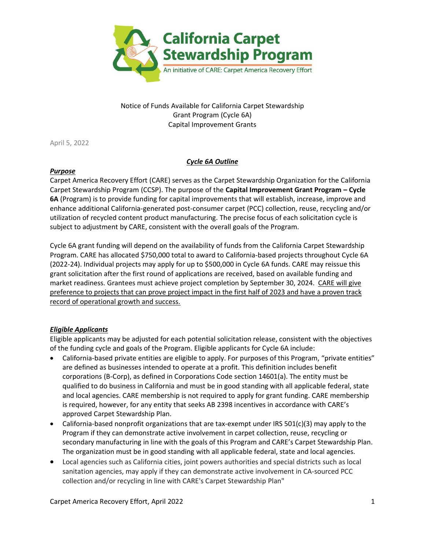

Notice of Funds Available for California Carpet Stewardship Grant Program (Cycle 6A) Capital Improvement Grants

April 5, 2022

# *Cycle 6A Outline*

# *Purpose*

Carpet America Recovery Effort (CARE) serves as the Carpet Stewardship Organization for the California Carpet Stewardship Program (CCSP). The purpose of the **Capital Improvement Grant Program – Cycle 6A** (Program) is to provide funding for capital improvements that will establish, increase, improve and enhance additional California-generated post-consumer carpet (PCC) collection, reuse, recycling and/or utilization of recycled content product manufacturing. The precise focus of each solicitation cycle is subject to adjustment by CARE, consistent with the overall goals of the Program.

Cycle 6A grant funding will depend on the availability of funds from the California Carpet Stewardship Program. CARE has allocated \$750,000 total to award to California-based projects throughout Cycle 6A (2022-24). Individual projects may apply for up to \$500,000 in Cycle 6A funds. CARE may reissue this grant solicitation after the first round of applications are received, based on available funding and market readiness. Grantees must achieve project completion by September 30, 2024. CARE will give preference to projects that can prove project impact in the first half of 2023 and have a proven track record of operational growth and success.

# *Eligible Applicants*

Eligible applicants may be adjusted for each potential solicitation release, consistent with the objectives of the funding cycle and goals of the Program. Eligible applicants for Cycle 6A include:

- California-based private entities are eligible to apply. For purposes of this Program, "private entities" are defined as businesses intended to operate at a profit. This definition includes benefit corporations (B-Corp), as defined in Corporations Code section 14601(a). The entity must be qualified to do business in California and must be in good standing with all applicable federal, state and local agencies. CARE membership is not required to apply for grant funding. CARE membership is required, however, for any entity that seeks AB 2398 incentives in accordance with CARE's approved Carpet Stewardship Plan.
- California-based nonprofit organizations that are tax-exempt under IRS 501(c)(3) may apply to the Program if they can demonstrate active involvement in carpet collection, reuse, recycling or secondary manufacturing in line with the goals of this Program and CARE's Carpet Stewardship Plan. The organization must be in good standing with all applicable federal, state and local agencies.
- Local agencies such as California cities, joint powers authorities and special districts such as local sanitation agencies, may apply if they can demonstrate active involvement in CA-sourced PCC collection and/or recycling in line with CARE's Carpet Stewardship Plan"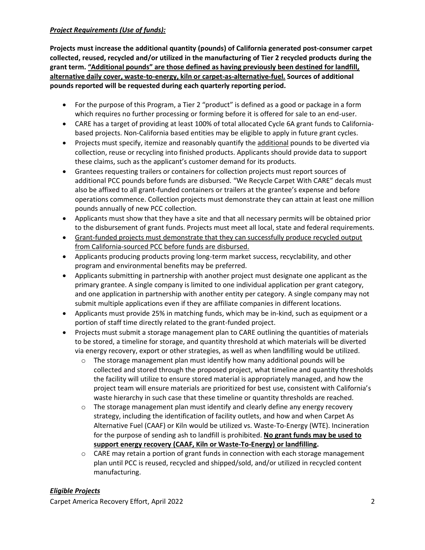# *Project Requirements (Use of funds):*

**Projects must increase the additional quantity (pounds) of California generated post-consumer carpet collected, reused, recycled and/or utilized in the manufacturing of Tier 2 recycled products during the grant term. "Additional pounds" are those defined as having previously been destined for landfill, alternative daily cover, waste-to-energy, kiln or carpet-as-alternative-fuel. Sources of additional pounds reported will be requested during each quarterly reporting period.**

- For the purpose of this Program, a Tier 2 "product" is defined as a good or package in a form which requires no further processing or forming before it is offered for sale to an end-user.
- CARE has a target of providing at least 100% of total allocated Cycle 6A grant funds to Californiabased projects. Non-California based entities may be eligible to apply in future grant cycles.
- Projects must specify, itemize and reasonably quantify the additional pounds to be diverted via collection, reuse or recycling into finished products. Applicants should provide data to support these claims, such as the applicant's customer demand for its products.
- Grantees requesting trailers or containers for collection projects must report sources of additional PCC pounds before funds are disbursed. "We Recycle Carpet With CARE" decals must also be affixed to all grant-funded containers or trailers at the grantee's expense and before operations commence. Collection projects must demonstrate they can attain at least one million pounds annually of new PCC collection.
- Applicants must show that they have a site and that all necessary permits will be obtained prior to the disbursement of grant funds. Projects must meet all local, state and federal requirements.
- Grant-funded projects must demonstrate that they can successfully produce recycled output from California-sourced PCC before funds are disbursed.
- Applicants producing products proving long-term market success, recyclability, and other program and environmental benefits may be preferred.
- Applicants submitting in partnership with another project must designate one applicant as the primary grantee. A single company is limited to one individual application per grant category, and one application in partnership with another entity per category. A single company may not submit multiple applications even if they are affiliate companies in different locations.
- Applicants must provide 25% in matching funds, which may be in-kind, such as equipment or a portion of staff time directly related to the grant-funded project.
- Projects must submit a storage management plan to CARE outlining the quantities of materials to be stored, a timeline for storage, and quantity threshold at which materials will be diverted via energy recovery, export or other strategies, as well as when landfilling would be utilized.
	- $\circ$  The storage management plan must identify how many additional pounds will be collected and stored through the proposed project, what timeline and quantity thresholds the facility will utilize to ensure stored material is appropriately managed, and how the project team will ensure materials are prioritized for best use, consistent with California's waste hierarchy in such case that these timeline or quantity thresholds are reached.
	- $\circ$  The storage management plan must identify and clearly define any energy recovery strategy, including the identification of facility outlets, and how and when Carpet As Alternative Fuel (CAAF) or Kiln would be utilized vs. Waste-To-Energy (WTE). Incineration for the purpose of sending ash to landfill is prohibited. **No grant funds may be used to support energy recovery (CAAF, Kiln or Waste-To-Energy) or landfilling.**
	- $\circ$  CARE may retain a portion of grant funds in connection with each storage management plan until PCC is reused, recycled and shipped/sold, and/or utilized in recycled content manufacturing.

# *Eligible Projects*

Carpet America Recovery Effort, April 2022 2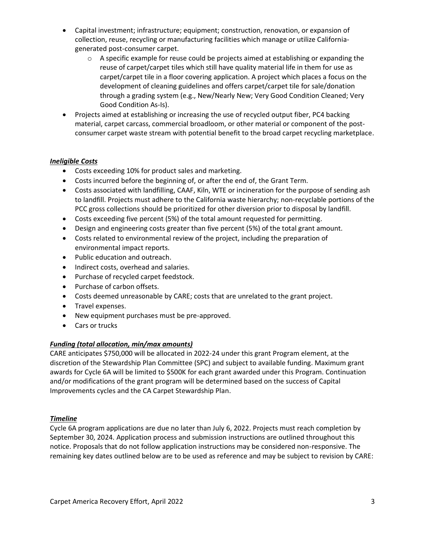- Capital investment; infrastructure; equipment; construction, renovation, or expansion of collection, reuse, recycling or manufacturing facilities which manage or utilize Californiagenerated post-consumer carpet.
	- $\circ$  A specific example for reuse could be projects aimed at establishing or expanding the reuse of carpet/carpet tiles which still have quality material life in them for use as carpet/carpet tile in a floor covering application. A project which places a focus on the development of cleaning guidelines and offers carpet/carpet tile for sale/donation through a grading system (e.g., New/Nearly New; Very Good Condition Cleaned; Very Good Condition As-Is).
- Projects aimed at establishing or increasing the use of recycled output fiber, PC4 backing material, carpet carcass, commercial broadloom, or other material or component of the postconsumer carpet waste stream with potential benefit to the broad carpet recycling marketplace.

### *Ineligible Costs*

- Costs exceeding 10% for product sales and marketing.
- Costs incurred before the beginning of, or after the end of, the Grant Term.
- Costs associated with landfilling, CAAF, Kiln, WTE or incineration for the purpose of sending ash to landfill. Projects must adhere to the California waste hierarchy; non-recyclable portions of the PCC gross collections should be prioritized for other diversion prior to disposal by landfill.
- Costs exceeding five percent (5%) of the total amount requested for permitting.
- Design and engineering costs greater than five percent (5%) of the total grant amount.
- Costs related to environmental review of the project, including the preparation of environmental impact reports.
- Public education and outreach.
- Indirect costs, overhead and salaries.
- Purchase of recycled carpet feedstock.
- Purchase of carbon offsets.
- Costs deemed unreasonable by CARE; costs that are unrelated to the grant project.
- Travel expenses.
- New equipment purchases must be pre-approved.
- Cars or trucks

### *Funding (total allocation, min/max amounts)*

CARE anticipates \$750,000 will be allocated in 2022-24 under this grant Program element, at the discretion of the Stewardship Plan Committee (SPC) and subject to available funding. Maximum grant awards for Cycle 6A will be limited to \$500K for each grant awarded under this Program. Continuation and/or modifications of the grant program will be determined based on the success of Capital Improvements cycles and the CA Carpet Stewardship Plan.

### *Timeline*

Cycle 6A program applications are due no later than July 6, 2022. Projects must reach completion by September 30, 2024. Application process and submission instructions are outlined throughout this notice. Proposals that do not follow application instructions may be considered non-responsive. The remaining key dates outlined below are to be used as reference and may be subject to revision by CARE: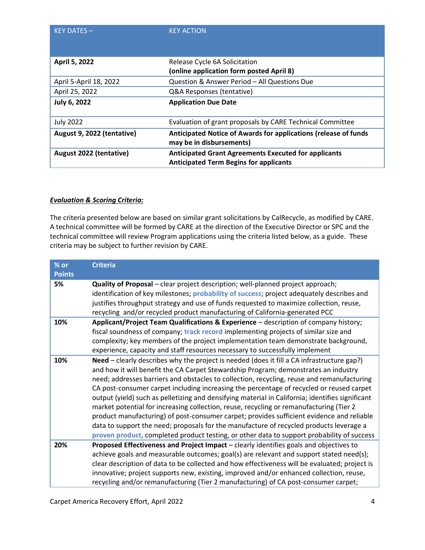| $KEY$ DATES $-$            | <b>KEY ACTION</b>                                                                                            |
|----------------------------|--------------------------------------------------------------------------------------------------------------|
| April 5, 2022              | Release Cycle 6A Solicitation                                                                                |
|                            | (online application form posted April 8)                                                                     |
| April 5-April 18, 2022     | Question & Answer Period - All Questions Due                                                                 |
| April 25, 2022             | Q&A Responses (tentative)                                                                                    |
| July 6, 2022               | <b>Application Due Date</b>                                                                                  |
| <b>July 2022</b>           | Evaluation of grant proposals by CARE Technical Committee                                                    |
| August 9, 2022 (tentative) | Anticipated Notice of Awards for applications (release of funds<br>may be in disbursements)                  |
| August 2022 (tentative)    | <b>Anticipated Grant Agreements Executed for applicants</b><br><b>Anticipated Term Begins for applicants</b> |

### *Evaluation & Scoring Criteria:*

The criteria presented below are based on similar grant solicitations by CalRecycle, as modified by CARE. A technical committee will be formed by CARE at the direction of the Executive Director or SPC and the technical committee will review Program applications using the criteria listed below, as a guide. These criteria may be subject to further revision by CARE.

| $%$ or<br><b>Points</b> | <b>Criteria</b>                                                                                                                                                                                                                                                                                                                                                                                                                                                                                                                                                                                                                                                                                                                                                                                                                                                  |
|-------------------------|------------------------------------------------------------------------------------------------------------------------------------------------------------------------------------------------------------------------------------------------------------------------------------------------------------------------------------------------------------------------------------------------------------------------------------------------------------------------------------------------------------------------------------------------------------------------------------------------------------------------------------------------------------------------------------------------------------------------------------------------------------------------------------------------------------------------------------------------------------------|
| 5%                      | Quality of Proposal - clear project description; well-planned project approach;<br>identification of key milestones; probability of success; project adequately describes and<br>justifies throughput strategy and use of funds requested to maximize collection, reuse,<br>recycling and/or recycled product manufacturing of California-generated PCC                                                                                                                                                                                                                                                                                                                                                                                                                                                                                                          |
| 10%                     | Applicant/Project Team Qualifications & Experience - description of company history;<br>fiscal soundness of company; track record implementing projects of similar size and<br>complexity; key members of the project implementation team demonstrate background,<br>experience, capacity and staff resources necessary to successfully implement                                                                                                                                                                                                                                                                                                                                                                                                                                                                                                                |
| 10%                     | Need - clearly describes why the project is needed (does it fill a CA infrastructure gap?)<br>and how it will benefit the CA Carpet Stewardship Program; demonstrates an industry<br>need; addresses barriers and obstacles to collection, recycling, reuse and remanufacturing<br>CA post-consumer carpet including increasing the percentage of recycled or reused carpet<br>output (yield) such as pelletizing and densifying material in California; identifies significant<br>market potential for increasing collection, reuse, recycling or remanufacturing (Tier 2<br>product manufacturing) of post-consumer carpet; provides sufficient evidence and reliable<br>data to support the need; proposals for the manufacture of recycled products leverage a<br>proven product, completed product testing, or other data to support probability of success |
| 20%                     | Proposed Effectiveness and Project Impact - clearly identifies goals and objectives to                                                                                                                                                                                                                                                                                                                                                                                                                                                                                                                                                                                                                                                                                                                                                                           |
|                         | achieve goals and measurable outcomes; goal(s) are relevant and support stated need(s);<br>clear description of data to be collected and how effectiveness will be evaluated; project is<br>innovative; project supports new, existing, improved and/or enhanced collection, reuse,<br>recycling and/or remanufacturing (Tier 2 manufacturing) of CA post-consumer carpet;                                                                                                                                                                                                                                                                                                                                                                                                                                                                                       |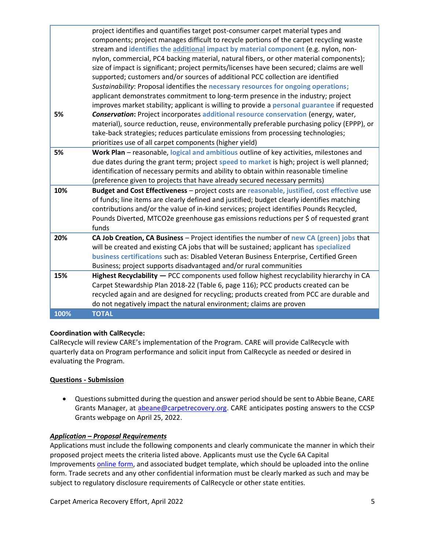|      | project identifies and quantifies target post-consumer carpet material types and             |
|------|----------------------------------------------------------------------------------------------|
|      | components; project manages difficult to recycle portions of the carpet recycling waste      |
|      | stream and identifies the additional impact by material component (e.g. nylon, non-          |
|      | nylon, commercial, PC4 backing material, natural fibers, or other material components);      |
|      | size of impact is significant; project permits/licenses have been secured; claims are well   |
|      | supported; customers and/or sources of additional PCC collection are identified              |
|      | Sustainability: Proposal identifies the necessary resources for ongoing operations;          |
|      | applicant demonstrates commitment to long-term presence in the industry; project             |
|      | improves market stability; applicant is willing to provide a personal guarantee if requested |
| 5%   | Conservation: Project incorporates additional resource conservation (energy, water,          |
|      | material), source reduction, reuse, environmentally preferable purchasing policy (EPPP), or  |
|      | take-back strategies; reduces particulate emissions from processing technologies;            |
|      | prioritizes use of all carpet components (higher yield)                                      |
| 5%   | Work Plan - reasonable, logical and ambitious outline of key activities, milestones and      |
|      | due dates during the grant term; project speed to market is high; project is well planned;   |
|      | identification of necessary permits and ability to obtain within reasonable timeline         |
|      | (preference given to projects that have already secured necessary permits)                   |
| 10%  | Budget and Cost Effectiveness - project costs are reasonable, justified, cost effective use  |
|      | of funds; line items are clearly defined and justified; budget clearly identifies matching   |
|      | contributions and/or the value of in-kind services; project identifies Pounds Recycled,      |
|      | Pounds Diverted, MTCO2e greenhouse gas emissions reductions per \$ of requested grant        |
|      | funds                                                                                        |
| 20%  | CA Job Creation, CA Business - Project identifies the number of new CA (green) jobs that     |
|      | will be created and existing CA jobs that will be sustained; applicant has specialized       |
|      | business certifications such as: Disabled Veteran Business Enterprise, Certified Green       |
|      | Business; project supports disadvantaged and/or rural communities                            |
| 15%  | Highest Recyclability - PCC components used follow highest recyclability hierarchy in CA     |
|      | Carpet Stewardship Plan 2018-22 (Table 6, page 116); PCC products created can be             |
|      | recycled again and are designed for recycling; products created from PCC are durable and     |
|      | do not negatively impact the natural environment; claims are proven                          |
| 100% | <b>TOTAL</b>                                                                                 |

# **Coordination with CalRecycle:**

CalRecycle will review CARE's implementation of the Program. CARE will provide CalRecycle with quarterly data on Program performance and solicit input from CalRecycle as needed or desired in evaluating the Program.

# **Questions - Submission**

• Questions submitted during the question and answer period should be sent to Abbie Beane, CARE Grants Manager, at *abeane@carpetrecovery.org*. CARE anticipates posting answers to the CCSP Grants webpage on April 25, 2022.

### *Application – Proposal Requirements*

Applications must include the following components and clearly communicate the manner in which their proposed project meets the criteria listed above. Applicants must use the Cycle 6A Capital Improvements [online form,](https://carpetrecovery.org/california/ca-grants/application-form-capital-improvement-grants/) and associated budget template, which should be uploaded into the online form. Trade secrets and any other confidential information must be clearly marked as such and may be subject to regulatory disclosure requirements of CalRecycle or other state entities.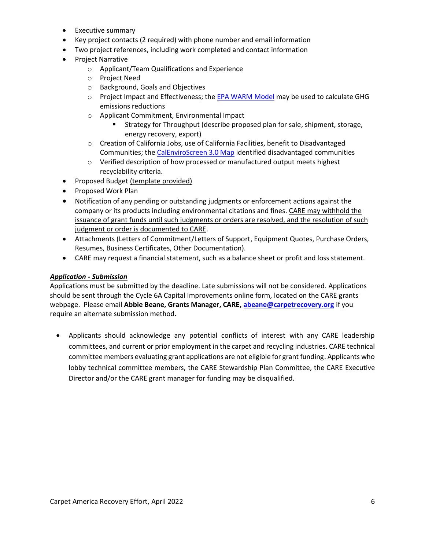- Executive summary
- Key project contacts (2 required) with phone number and email information
- Two project references, including work completed and contact information
- Project Narrative
	- o Applicant/Team Qualifications and Experience
	- o Project Need
	- o Background, Goals and Objectives
	- $\circ$  Project Impact and Effectiveness; th[e EPA WARM Model](https://www.epa.gov/warm/versions-waste-reduction-model-warm#WARM%20Tool%20V14) may be used to calculate GHG emissions reductions
	- o Applicant Commitment, Environmental Impact
		- Strategy for Throughput (describe proposed plan for sale, shipment, storage, energy recovery, export)
	- o Creation of California Jobs, use of California Facilities, benefit to Disadvantaged Communities; the [CalEnviroScreen 3.0 Map](https://oehha.ca.gov/calenviroscreen/report/calenviroscreen-30) identified disadvantaged communities
	- o Verified description of how processed or manufactured output meets highest recyclability criteria.
- Proposed Budget (template provided)
- Proposed Work Plan
- Notification of any pending or outstanding judgments or enforcement actions against the company or its products including environmental citations and fines. CARE may withhold the issuance of grant funds until such judgments or orders are resolved, and the resolution of such judgment or order is documented to CARE.
- Attachments (Letters of Commitment/Letters of Support, Equipment Quotes, Purchase Orders, Resumes, Business Certificates, Other Documentation).
- CARE may request a financial statement, such as a balance sheet or profit and loss statement.

### *Application - Submission*

Applications must be submitted by the deadline. Late submissions will not be considered. Applications should be sent through the Cycle 6A Capital Improvements online form, located on the CARE grants webpage. Please email **Abbie Beane, Grants Manager, CARE, [abeane@carpetrecovery.org](mailto:abeane@carpetrecovery.org)** if you require an alternate submission method.

• Applicants should acknowledge any potential conflicts of interest with any CARE leadership committees, and current or prior employment in the carpet and recycling industries. CARE technical committee members evaluating grant applications are not eligible for grant funding. Applicants who lobby technical committee members, the CARE Stewardship Plan Committee, the CARE Executive Director and/or the CARE grant manager for funding may be disqualified.